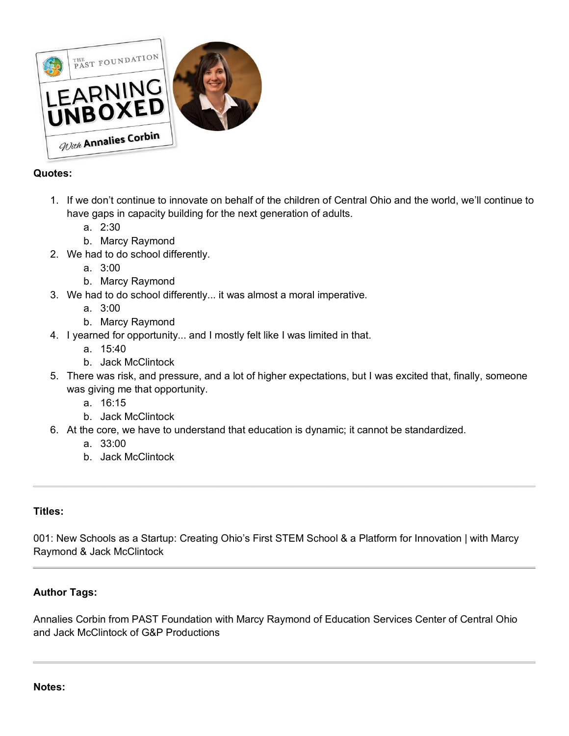

# **Quotes:**

- 1. If we don't continue to innovate on behalf of the children of Central Ohio and the world, we'll continue to have gaps in capacity building for the next generation of adults.
	- a. 2:30
	- b. Marcy Raymond
- 2. We had to do school differently.
	- a. 3:00
	- b. Marcy Raymond
- 3. We had to do school differently... it was almost a moral imperative.
	- a. 3:00
	- b. Marcy Raymond
- 4. I yearned for opportunity... and I mostly felt like I was limited in that.
	- a. 15:40
	- b. Jack McClintock
- 5. There was risk, and pressure, and a lot of higher expectations, but I was excited that, finally, someone was giving me that opportunity.
	- a. 16:15
	- b. Jack McClintock
- 6. At the core, we have to understand that education is dynamic; it cannot be standardized.
	- a. 33:00
	- b. Jack McClintock

# **Titles:**

001: New Schools as a Startup: Creating Ohio's First STEM School & a Platform for Innovation | with Marcy Raymond & Jack McClintock

# **Author Tags:**

Annalies Corbin from PAST Foundation with Marcy Raymond of Education Services Center of Central Ohio and Jack McClintock of G&P Productions